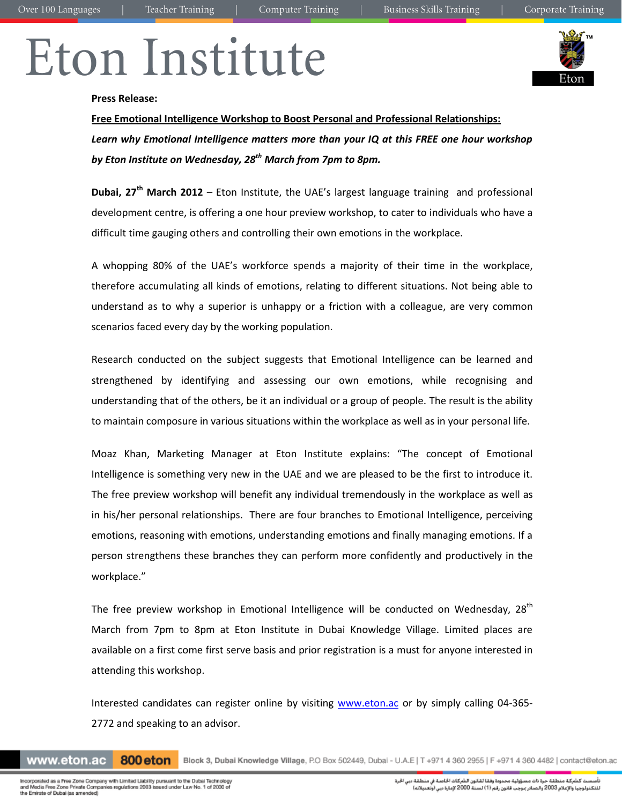# Eton Institute



### **Press Release:**

**Free Emotional Intelligence Workshop to Boost Personal and Professional Relationships:** *Learn why Emotional Intelligence matters more than your IQ at this FREE one hour workshop by Eton Institute on Wednesday, 28th March from 7pm to 8pm.*

**Dubai, 27 th March 2012** – Eton Institute, the UAE's largest language training and professional development centre, is offering a one hour preview workshop, to cater to individuals who have a difficult time gauging others and controlling their own emotions in the workplace.

A whopping 80% of the UAE's workforce spends a majority of their time in the workplace, therefore accumulating all kinds of emotions, relating to different situations. Not being able to understand as to why a superior is unhappy or a friction with a colleague, are very common scenarios faced every day by the working population.

Research conducted on the subject suggests that Emotional Intelligence can be learned and strengthened by identifying and assessing our own emotions, while recognising and understanding that of the others, be it an individual or a group of people. The result is the ability to maintain composure in various situations within the workplace as well as in your personal life.

Moaz Khan, Marketing Manager at Eton Institute explains: "The concept of Emotional Intelligence is something very new in the UAE and we are pleased to be the first to introduce it. The free preview workshop will benefit any individual tremendously in the workplace as well as in his/her personal relationships. There are four branches to Emotional Intelligence, perceiving emotions, reasoning with emotions, understanding emotions and finally managing emotions. If a person strengthens these branches they can perform more confidently and productively in the workplace."

The free preview workshop in Emotional Intelligence will be conducted on Wednesday,  $28<sup>th</sup>$ March from 7pm to 8pm at Eton Institute in Dubai Knowledge Village. Limited places are available on a first come first serve basis and prior registration is a must for anyone interested in attending this workshop.

Interested candidates can register online by visiting [www.eton.ac](http://www.eton.ac/) or by simply calling 04-365-2772 and speaking to an advisor.

www.eton.ac 800 eton

Block 3, Dubai Knowledge Village, P.O Box 502449, Dubai - U.A.E | T +971 4 360 2955 | F +971 4 360 4482 | contact@eton.ac